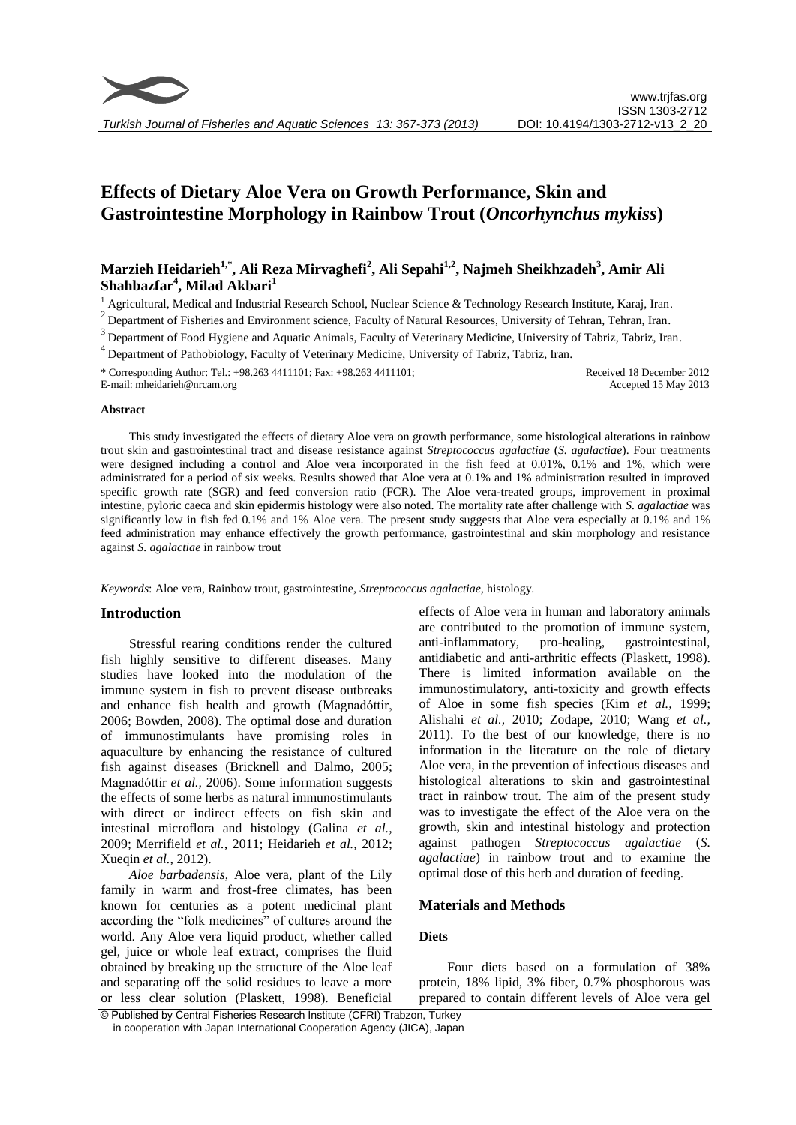# **Effects of Dietary Aloe Vera on Growth Performance, Skin and Gastrointestine Morphology in Rainbow Trout (***Oncorhynchus mykiss***)**

# **Marzieh Heidarieh1,\* , Ali Reza Mirvaghefi<sup>2</sup> , Ali Sepahi1,2 , Najmeh Sheikhzadeh<sup>3</sup> , Amir Ali Shahbazfar<sup>4</sup> , Milad Akbari<sup>1</sup>**

 $<sup>1</sup>$  Agricultural, Medical and Industrial Research School, Nuclear Science & Technology Research Institute, Karaj, Iran.</sup>

<sup>2</sup> Department of Fisheries and Environment science, Faculty of Natural Resources, University of Tehran, Tehran, Iran.

<sup>3</sup> Department of Food Hygiene and Aquatic Animals, Faculty of Veterinary Medicine, University of Tabriz, Tabriz, Iran.

<sup>4</sup> Department of Pathobiology, Faculty of Veterinary Medicine, University of Tabriz, Tabriz, Iran.

\* Corresponding Author: Tel.: +98.263 4411101; Fax: +98.263 4411101; E-mail: mheidarieh@nrcam.org Received 18 December 2012 Accepted 15 May 2013

#### **Abstract**

This study investigated the effects of dietary Aloe vera on growth performance, some histological alterations in rainbow trout skin and gastrointestinal tract and disease resistance against *Streptococcus agalactiae* (*S. agalactiae*). Four treatments were designed including a control and Aloe vera incorporated in the fish feed at 0.01%, 0.1% and 1%, which were administrated for a period of six weeks. Results showed that Aloe vera at 0.1% and 1% administration resulted in improved specific growth rate (SGR) and feed conversion ratio (FCR). The Aloe vera-treated groups, improvement in proximal intestine, pyloric caeca and skin epidermis histology were also noted. The mortality rate after challenge with *S. agalactiae* was significantly low in fish fed 0.1% and 1% Aloe vera. The present study suggests that Aloe vera especially at 0.1% and 1% feed administration may enhance effectively the growth performance, gastrointestinal and skin morphology and resistance against *S. agalactiae* in rainbow trout

#### *Keywords*: Aloe vera, Rainbow trout, gastrointestine, *Streptococcus agalactiae,* histology.

# **Introduction**

Stressful rearing conditions render the cultured fish highly sensitive to different diseases. Many studies have looked into the modulation of the immune system in fish to prevent disease outbreaks and enhance fish health and growth (Magnadóttir, 2006; Bowden, 2008). The optimal dose and duration of immunostimulants have promising roles in aquaculture by enhancing the resistance of cultured fish against diseases (Bricknell and Dalmo, 2005; Magnadóttir *et al.,* 2006). Some information suggests the effects of some herbs as natural immunostimulants with direct or indirect effects on fish skin and intestinal microflora and histology (Galina *et al.,* 2009; Merrifield *et al.,* 2011; Heidarieh *et al.,* 2012; Xueqin *et al.,* 2012).

*Aloe barbadensis*, Aloe vera, plant of the Lily family in warm and frost-free climates, has been known for centuries as a potent medicinal plant according the "folk medicines" of cultures around the world. Any Aloe vera liquid product, whether called gel, juice or whole leaf extract, comprises the fluid obtained by breaking up the structure of the Aloe leaf and separating off the solid residues to leave a more or less clear solution (Plaskett, 1998). Beneficial effects of Aloe vera in human and laboratory animals are contributed to the promotion of immune system, anti-inflammatory, pro-healing, gastrointestinal, antidiabetic and anti-arthritic effects (Plaskett, 1998). There is limited information available on the immunostimulatory, anti-toxicity and growth effects of Aloe in some fish species (Kim *et al.,* 1999; Alishahi *et al.,* 2010; Zodape, 2010; Wang *et al.,* 2011). To the best of our knowledge, there is no information in the literature on the role of dietary Aloe vera, in the prevention of infectious diseases and histological alterations to skin and gastrointestinal tract in rainbow trout. The aim of the present study was to investigate the effect of the Aloe vera on the growth, skin and intestinal histology and protection against pathogen *Streptococcus agalactiae* (*S. agalactiae*) in rainbow trout and to examine the optimal dose of this herb and duration of feeding.

# **Materials and Methods**

# **Diets**

Four diets based on a formulation of 38% protein, 18% lipid, 3% fiber, 0.7% phosphorous was prepared to contain different levels of Aloe vera gel

© Published by Central Fisheries Research Institute (CFRI) Trabzon, Turkey in cooperation with Japan International Cooperation Agency (JICA), Japan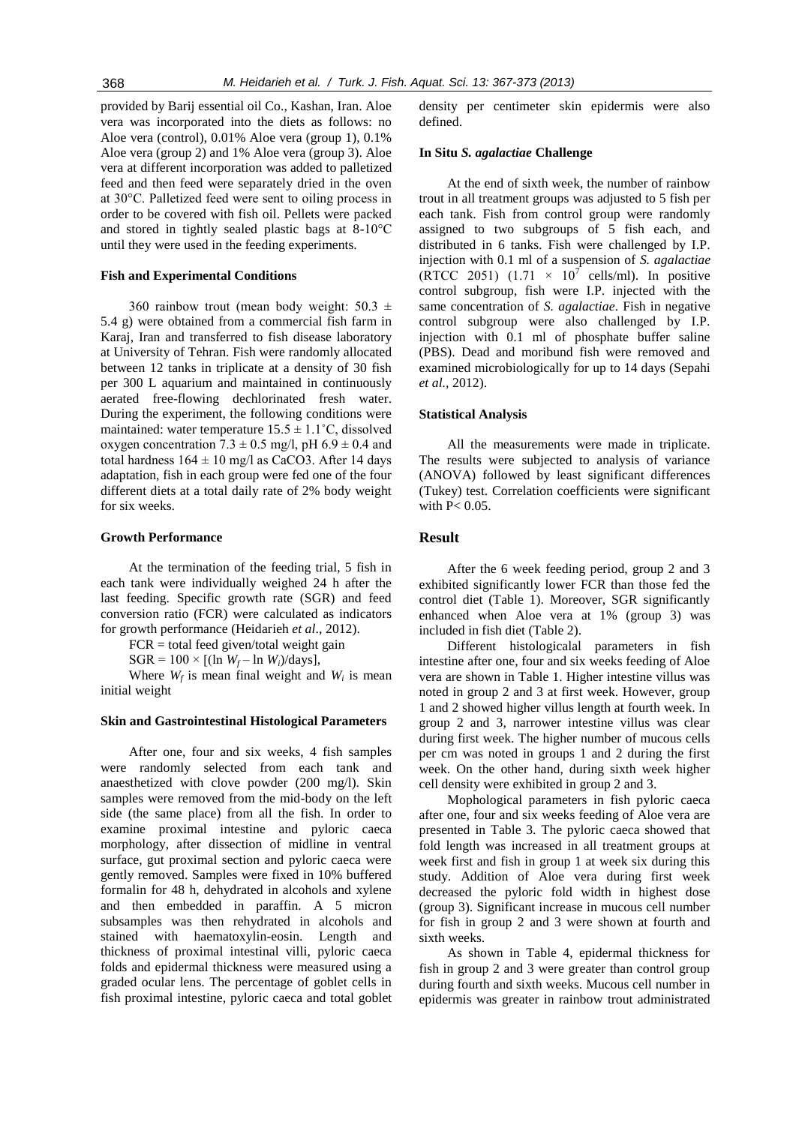provided by Barij essential oil Co., Kashan, Iran. Aloe vera was incorporated into the diets as follows: no Aloe vera (control), 0.01% Aloe vera (group 1), 0.1% Aloe vera (group 2) and 1% Aloe vera (group 3). Aloe vera at different incorporation was added to palletized feed and then feed were separately dried in the oven at 30°C. Palletized feed were sent to oiling process in order to be covered with fish oil. Pellets were packed and stored in tightly sealed plastic bags at 8-10°C until they were used in the feeding experiments.

#### **Fish and Experimental Conditions**

360 rainbow trout (mean body weight:  $50.3 \pm$ 5.4 g) were obtained from a commercial fish farm in Karaj, Iran and transferred to fish disease laboratory at University of Tehran. Fish were randomly allocated between 12 tanks in triplicate at a density of 30 fish per 300 L aquarium and maintained in continuously aerated free-flowing dechlorinated fresh water. During the experiment, the following conditions were maintained: water temperature  $15.5 \pm 1.1^{\circ}$ C, dissolved oxygen concentration  $7.3 \pm 0.5$  mg/l, pH  $6.9 \pm 0.4$  and total hardness  $164 \pm 10$  mg/l as CaCO3. After 14 days adaptation, fish in each group were fed one of the four different diets at a total daily rate of 2% body weight for six weeks.

### **Growth Performance**

At the termination of the feeding trial, 5 fish in each tank were individually weighed 24 h after the last feeding. Specific growth rate (SGR) and feed conversion ratio (FCR) were calculated as indicators for growth performance (Heidarieh *et al*., 2012).

 $FCR = total feed given/total weight gain$ 

 $SGR = 100 \times [(ln W_f - ln W_i)/days]$ ,

Where  $W_f$  is mean final weight and  $W_i$  is mean initial weight

# **Skin and Gastrointestinal Histological Parameters**

After one, four and six weeks, 4 fish samples were randomly selected from each tank and anaesthetized with clove powder (200 mg/l). Skin samples were removed from the mid-body on the left side (the same place) from all the fish. In order to examine proximal intestine and pyloric caeca morphology, after dissection of midline in ventral surface, gut proximal section and pyloric caeca were gently removed. Samples were fixed in 10% buffered formalin for 48 h, dehydrated in alcohols and xylene and then embedded in paraffin. A 5 micron subsamples was then rehydrated in alcohols and stained with haematoxylin-eosin. Length and thickness of proximal intestinal villi, pyloric caeca folds and epidermal thickness were measured using a graded ocular lens. The percentage of goblet cells in fish proximal intestine, pyloric caeca and total goblet density per centimeter skin epidermis were also defined.

#### **In Situ** *S. agalactiae* **Challenge**

At the end of sixth week, the number of rainbow trout in all treatment groups was adjusted to 5 fish per each tank. Fish from control group were randomly assigned to two subgroups of 5 fish each, and distributed in 6 tanks. Fish were challenged by I.P. injection with 0.1 ml of a suspension of *S. agalactiae* (RTCC 2051)  $(1.71 \times 10^7 \text{ cells/ml})$ . In positive control subgroup, fish were I.P. injected with the same concentration of *S. agalactiae*. Fish in negative control subgroup were also challenged by I.P. injection with 0.1 ml of phosphate buffer saline (PBS). Dead and moribund fish were removed and examined microbiologically for up to 14 days (Sepahi *et al.,* 2012).

#### **Statistical Analysis**

All the measurements were made in triplicate. The results were subjected to analysis of variance (ANOVA) followed by least significant differences (Tukey) test. Correlation coefficients were significant with  $P < 0.05$ .

# **Result**

After the 6 week feeding period, group 2 and 3 exhibited significantly lower FCR than those fed the control diet (Table 1). Moreover, SGR significantly enhanced when Aloe vera at 1% (group 3) was included in fish diet (Table 2).

Different histologicalal parameters in fish intestine after one, four and six weeks feeding of Aloe vera are shown in Table 1. Higher intestine villus was noted in group 2 and 3 at first week. However, group 1 and 2 showed higher villus length at fourth week. In group 2 and 3, narrower intestine villus was clear during first week. The higher number of mucous cells per cm was noted in groups 1 and 2 during the first week. On the other hand, during sixth week higher cell density were exhibited in group 2 and 3.

Mophological parameters in fish pyloric caeca after one, four and six weeks feeding of Aloe vera are presented in Table 3. The pyloric caeca showed that fold length was increased in all treatment groups at week first and fish in group 1 at week six during this study. Addition of Aloe vera during first week decreased the pyloric fold width in highest dose (group 3). Significant increase in mucous cell number for fish in group 2 and 3 were shown at fourth and sixth weeks.

As shown in Table 4, epidermal thickness for fish in group 2 and 3 were greater than control group during fourth and sixth weeks. Mucous cell number in epidermis was greater in rainbow trout administrated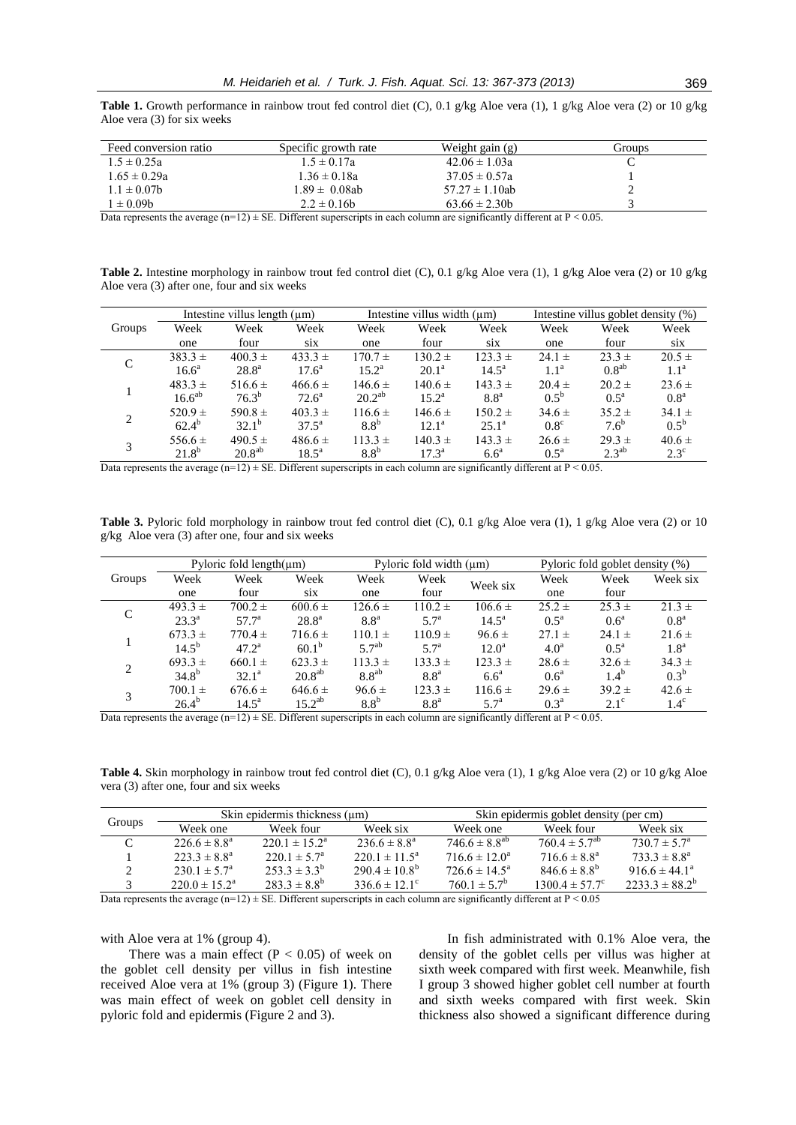**Table 1.** Growth performance in rainbow trout fed control diet (C), 0.1 g/kg Aloe vera (1), 1 g/kg Aloe vera (2) or 10 g/kg Aloe vera (3) for six weeks

| Feed conversion ratio | Specific growth rate | Weight gain $(g)$   | Groups |
|-----------------------|----------------------|---------------------|--------|
| $1.5 \pm 0.25a$       | $1.5 \pm 0.17a$      | $42.06 \pm 1.03a$   |        |
| $1.65 \pm 0.29a$      | $1.36 \pm 0.18a$     | $37.05 \pm 0.57a$   |        |
| $1.1 \pm 0.07$ b      | $1.89 \pm 0.08$ ab   | $57.27 \pm 1.10$ ab |        |
| $\pm 0.09b$           | $2.2 \pm 0.16b$      | $63.66 \pm 2.30$    |        |

Data represents the average (n=12)  $\pm$  SE. Different superscripts in each column are significantly different at P < 0.05.

**Table 2.** Intestine morphology in rainbow trout fed control diet (C), 0.1 g/kg Aloe vera (1), 1 g/kg Aloe vera (2) or 10 g/kg Aloe vera (3) after one, four and six weeks

|               | Intestine villus length $(\mu m)$ |                    |                | Intestine villus width $(\mu m)$ |                |                  | Intestine villus goblet density (%) |                  |                  |
|---------------|-----------------------------------|--------------------|----------------|----------------------------------|----------------|------------------|-------------------------------------|------------------|------------------|
| Groups        | Week                              | Week               | Week           | Week                             | Week           | Week             | Week                                | Week             | Week             |
|               | one                               | four               | <b>SIX</b>     | one                              | four           | <b>SiX</b>       | one                                 | four             | S1X              |
| C             | $383.3 \pm$                       | $400.3 \pm$        | $433.3 \pm$    | $170.7 \pm$                      | $130.2 \pm$    | $123.3 \pm$      | $24.1 \pm$                          | $23.3 \pm$       | $20.5 \pm$       |
|               | $16.6^{\rm a}$                    | $28.8^{\rm a}$     | $17.6^{\rm a}$ | $15.2^{\rm a}$                   | $20.1^{\rm a}$ | $14.5^{\rm a}$   | 1.1 <sup>a</sup>                    | $0.8^{ab}$       | 1.1 <sup>a</sup> |
|               | $483.3 \pm$                       | $516.6 \pm$        | $466.6 \pm$    | $146.6 \pm$                      | $140.6 \pm$    | $143.3 \pm$      | $20.4 \pm$                          | $20.2 \pm$       | $23.6 \pm$       |
|               | 16.6 <sup>ab</sup>                | $76.3^{b}$         | $72.6^{\circ}$ | $20.2^{ab}$                      | $15.2^{\rm a}$ | 8.8 <sup>a</sup> | $0.5^{\rm b}$                       | $0.5^{\rm a}$    | 0.8 <sup>a</sup> |
| $\mathcal{L}$ | $520.9 +$                         | 590.8 $\pm$        | $403.3 \pm$    | $116.6 \pm$                      | $146.6 \pm$    | $150.2 \pm$      | $34.6 \pm$                          | $35.2 \pm$       | $34.1 \pm$       |
|               | $62.4^{b}$                        | $32.1^{b}$         | $37.5^{\rm a}$ | 8.8 <sup>b</sup>                 | $12.1^{\rm a}$ | $25.1^{\circ}$   | $0.8^{\circ}$                       | 7.6 <sup>b</sup> | $0.5^{\rm b}$    |
| 3             | 556.6 $\pm$                       | $490.5 \pm$        | $486.6 \pm$    | $113.3 \pm$                      | $140.3 \pm$    | $143.3 \pm$      | $26.6 \pm$                          | $29.3 \pm$       | $40.6 \pm$       |
|               | $21.8^{b}$                        | 20.8 <sup>ab</sup> | $18.5^{\rm a}$ | 8.8 <sup>b</sup>                 | $17.3^{\rm a}$ | 6.6 <sup>a</sup> | $0.5^{\mathrm{a}}$                  | $2.3^{ab}$       | $2.3^{\circ}$    |

Data represents the average  $(n=12) \pm SE$ . Different superscripts in each column are significantly different at P < 0.05.

**Table 3.** Pyloric fold morphology in rainbow trout fed control diet (C), 0.1 g/kg Aloe vera (1), 1 g/kg Aloe vera (2) or 10 g/kg Aloe vera (3) after one, four and six weeks

|                | Pyloric fold length $(\mu m)$ |                |                | Pyloric fold width $(\mu m)$ |                  |                  | Pyloric fold goblet density (%) |                  |                  |
|----------------|-------------------------------|----------------|----------------|------------------------------|------------------|------------------|---------------------------------|------------------|------------------|
| Groups         | Week                          | Week           | Week           | Week                         | Week             | Week six         | Week                            | Week             | Week six         |
|                | one                           | four           | S1X            | one                          | four             |                  | one                             | four             |                  |
| $\mathcal{C}$  | $493.3 \pm$                   | $700.2 \pm$    | $600.6 \pm$    | $126.6 \pm$                  | $110.2 \pm$      | $106.6 \pm$      | $25.2 \pm$                      | $25.3 \pm$       | $21.3 \pm$       |
|                | $23.3^{\circ}$                | $57.7^{\circ}$ | $28.8^{\rm a}$ | 8.8 <sup>a</sup>             | 5.7 <sup>a</sup> | $14.5^{\circ}$   | $0.5^{\text{a}}$                | 0.6 <sup>a</sup> | 0.8 <sup>a</sup> |
|                | $673.3 \pm$                   | $770.4 \pm$    | $716.6 \pm$    | $110.1 \pm$                  | $110.9 \pm$      | $96.6 \pm$       | $27.1 \pm$                      | $24.1 \pm$       | $21.6 \pm$       |
|                | $14.5^{b}$                    | $47.2^{\rm a}$ | $60.1^{\rm b}$ | 5.7 <sup>ab</sup>            | $5.7^{\rm a}$    | $12.0^a$         | 4.0 <sup>a</sup>                | $0.5^{\rm a}$    | 1.8 <sup>a</sup> |
| $\overline{c}$ | $693.3 \pm$                   | $660.1 \pm$    | $623.3 \pm$    | $113.3 \pm$                  | $133.3 \pm$      | $123.3 +$        | $28.6 \pm$                      | $32.6 \pm$       | $34.3 \pm$       |
|                | $34.8^{b}$                    | $32.1^{\circ}$ | $20.8^{ab}$    | $8.8^{ab}$                   | 8.8 <sup>a</sup> | 6.6 <sup>a</sup> | 0.6 <sup>a</sup>                | $1.4^{b}$        | $0.3^{b}$        |
| 3              | $700.1 \pm$                   | $676.6 \pm$    | $646.6 \pm$    | $96.6 \pm$                   | $123.3 \pm$      | $116.6 \pm$      | $29.6 \pm$                      | $39.2 \pm$       | $42.6 \pm$       |
|                | $26.4^{b}$                    | $14.5^{\circ}$ | $15.2^{ab}$    | 8.8 <sup>b</sup>             | 8.8 <sup>a</sup> | 5.7 <sup>a</sup> | $0.3^{\rm a}$                   | $2.1^\circ$      | $1.4^\circ$      |

Data represents the average  $(n=12) \pm SE$ . Different superscripts in each column are significantly different at P < 0.05.

**Table 4.** Skin morphology in rainbow trout fed control diet (C), 0.1 g/kg Aloe vera (1), 1 g/kg Aloe vera (2) or 10 g/kg Aloe vera (3) after one, four and six weeks

| Groups        |                                              | Skin epidermis thickness $(\mu m)$ |                          | Skin epidermis goblet density (per cm) |                                |                          |  |
|---------------|----------------------------------------------|------------------------------------|--------------------------|----------------------------------------|--------------------------------|--------------------------|--|
|               | Week one                                     | Week four                          | Week six                 | Week one                               | Week four                      | Week six                 |  |
| $\Gamma$      | $226.6 \pm 8.8^a$                            | $220.1 \pm 15.2^{\circ}$           | $236.6 \pm 8.8^a$        | $746.6 \pm 8.8^{ab}$                   | $760.4 \pm 5.7^{ab}$           | $730.7 \pm 5.7^{\circ}$  |  |
|               | $223.3 \pm 8.8^a$                            | $220.1 \pm 5.7^{\circ}$            | $220.1 \pm 11.5^{\circ}$ | $716.6 \pm 12.0^{\circ}$               | $716.6 \pm 8.8^{\circ}$        | $733.3 \pm 8.8^a$        |  |
|               | $230.1 \pm 5.7^{\circ}$                      | $253.3 \pm 3.3^b$                  | $290.4 \pm 10.8^{\rm b}$ | $726.6 \pm 14.5^{\circ}$               | $846.6 \pm 8.8^{b}$            | $916.6 \pm 44.1^{\circ}$ |  |
|               | $220.0 \pm 15.2^{\circ}$                     | $283.3 \pm 8.8^{b}$                | $336.6 \pm 12.1^{\circ}$ | $760.1 \pm 5.7^b$                      | $1300.4 \pm 57.7$ <sup>c</sup> | $2233.3 \pm 88.2^b$      |  |
| $\sim$ $\sim$ | $\sim$ 1. $\sim$ 1. $\sim$ 1.00 m/s 1.00 m/s |                                    |                          |                                        |                                |                          |  |

Data represents the average (n=12)  $\pm$  SE. Different superscripts in each column are significantly different at P < 0.05

with Aloe vera at 1% (group 4).

There was a main effect ( $P < 0.05$ ) of week on the goblet cell density per villus in fish intestine received Aloe vera at 1% (group 3) (Figure 1). There was main effect of week on goblet cell density in pyloric fold and epidermis (Figure 2 and 3).

In fish administrated with 0.1% Aloe vera, the density of the goblet cells per villus was higher at sixth week compared with first week. Meanwhile, fish I group 3 showed higher goblet cell number at fourth and sixth weeks compared with first week. Skin thickness also showed a significant difference during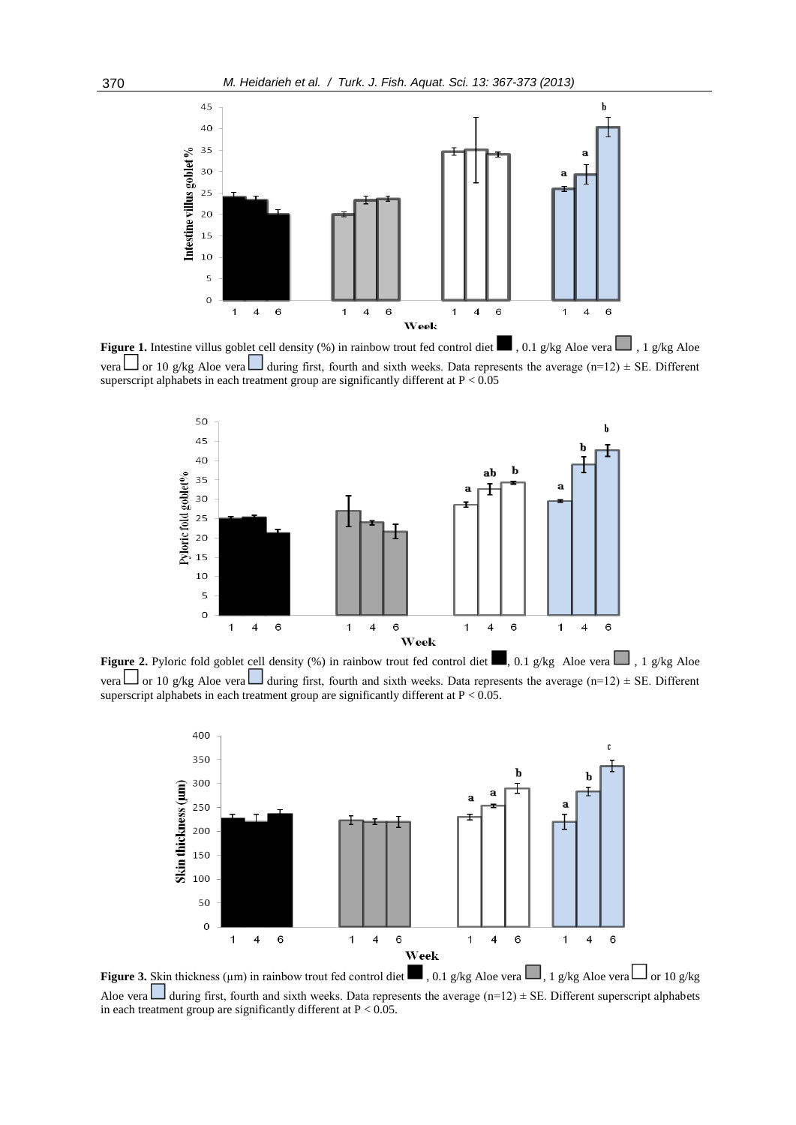

**Figure 1.** Intestine villus goblet cell density (%) in rainbow trout fed control diet  $\Box$ , 0.1 g/kg Aloe vera  $\Box$ , 1 g/kg Aloe vera  $\Box$  or 10 g/kg Aloe vera  $\Box$  during first, fourth and sixth weeks. Data represents the average (n=12) ± SE. Different superscript alphabets in each treatment group are significantly different at  $P < 0.05$ 



**Figure 2.** Pyloric fold goblet cell density (%) in rainbow trout fed control diet , 0.1 g/kg Aloe vera , 1 g/kg Aloe vera  $\Box$  or 10 g/kg Aloe vera  $\Box$  during first, fourth and sixth weeks. Data represents the average (n=12)  $\pm$  SE. Different superscript alphabets in each treatment group are significantly different at  $P < 0.05$ .



**Figure 3.** Skin thickness (µm) in rainbow trout fed control diet  $\Box$ , 0.1 g/kg Aloe vera  $\Box$ , 1 g/kg Aloe vera  $\Box$  or 10 g/kg Aloe vera during first, fourth and sixth weeks. Data represents the average (n=12)  $\pm$  SE. Different superscript alphabets in each treatment group are significantly different at  $P < 0.05$ .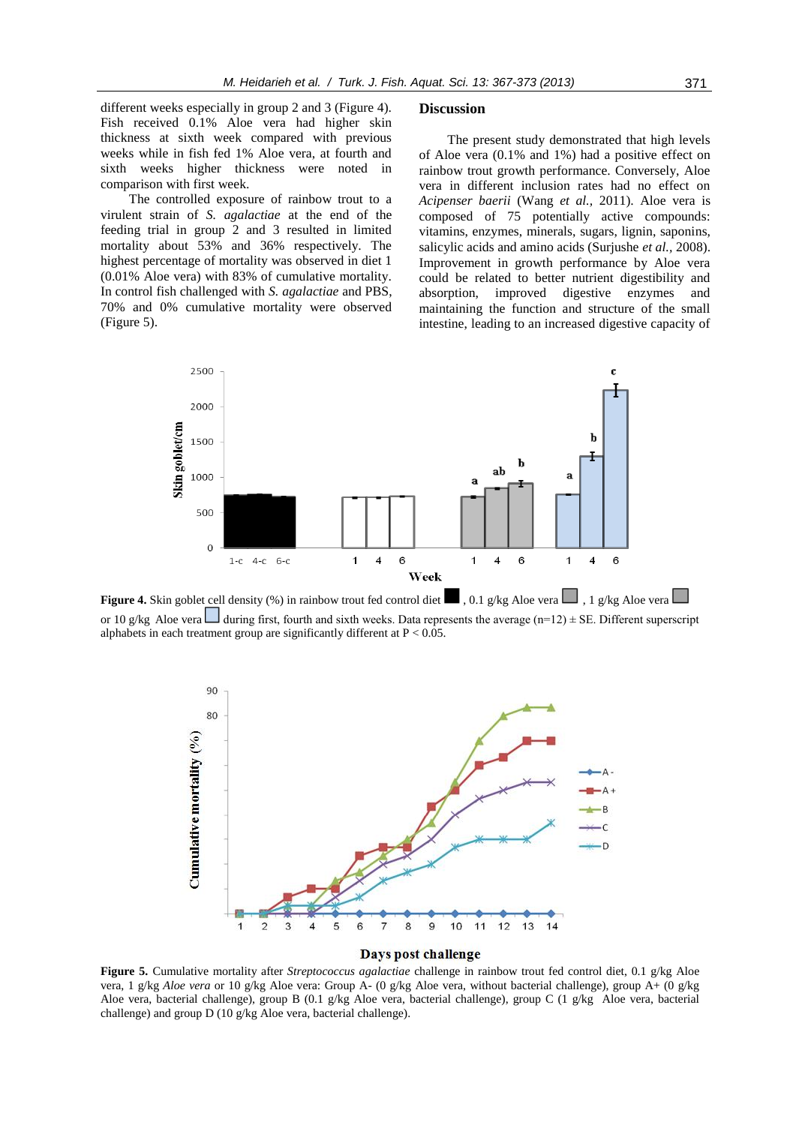different weeks especially in group 2 and 3 (Figure 4). Fish received 0.1% Aloe vera had higher skin thickness at sixth week compared with previous weeks while in fish fed 1% Aloe vera, at fourth and sixth weeks higher thickness were noted in comparison with first week.

The controlled exposure of rainbow trout to a virulent strain of *S. agalactiae* at the end of the feeding trial in group 2 and 3 resulted in limited mortality about 53% and 36% respectively. The highest percentage of mortality was observed in diet 1 (0.01% Aloe vera) with 83% of cumulative mortality. In control fish challenged with *S. agalactiae* and PBS, 70% and 0% cumulative mortality were observed (Figure 5).

#### **Discussion**

The present study demonstrated that high levels of Aloe vera (0.1% and 1%) had a positive effect on rainbow trout growth performance. Conversely, Aloe vera in different inclusion rates had no effect on *Acipenser baerii* (Wang *et al.,* 2011). Aloe vera is composed of 75 potentially active compounds: vitamins, enzymes, minerals, sugars, lignin, saponins, salicylic acids and amino acids (Surjushe *et al.,* 2008). Improvement in growth performance by Aloe vera could be related to better nutrient digestibility and absorption, improved digestive enzymes and maintaining the function and structure of the small intestine, leading to an increased digestive capacity of



**Figure 4.** Skin goblet cell density (%) in rainbow trout fed control diet  $\blacksquare$ , 0.1 g/kg Aloe vera  $\blacksquare$ , 1 g/kg Aloe vera  $\blacksquare$ or 10 g/kg Aloe vera during first, fourth and sixth weeks. Data represents the average (n=12)  $\pm$  SE. Different superscript alphabets in each treatment group are significantly different at  $P < 0.05$ .



**Figure 5.** Cumulative mortality after *Streptococcus agalactiae* challenge in rainbow trout fed control diet, 0.1 g/kg Aloe vera, 1 g/kg *Aloe vera* or 10 g/kg Aloe vera: Group A- (0 g/kg Aloe vera, without bacterial challenge), group A+ (0 g/kg Aloe vera, bacterial challenge), group B (0.1 g/kg Aloe vera, bacterial challenge), group C (1 g/kg Aloe vera, bacterial challenge) and group D (10 g/kg Aloe vera, bacterial challenge).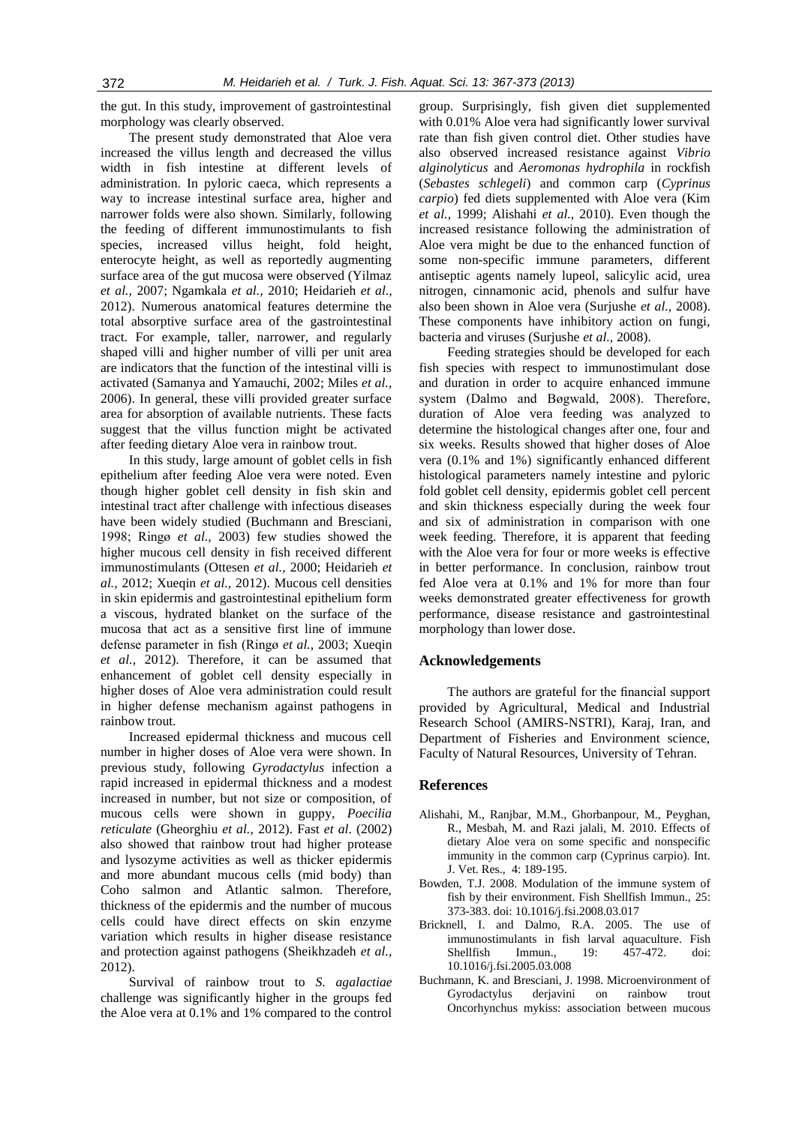the gut. In this study, improvement of gastrointestinal morphology was clearly observed.

The present study demonstrated that Aloe vera increased the villus length and decreased the villus width in fish intestine at different levels of administration. In pyloric caeca, which represents a way to increase intestinal surface area, higher and narrower folds were also shown. Similarly, following the feeding of different immunostimulants to fish species, increased villus height, fold height, enterocyte height, as well as reportedly augmenting surface area of the gut mucosa were observed (Yilmaz *et al.,* 2007; Ngamkala *et al.,* 2010; Heidarieh *et al.,* 2012). Numerous anatomical features determine the total absorptive surface area of the gastrointestinal tract. For example, taller, narrower, and regularly shaped villi and higher number of villi per unit area are indicators that the function of the intestinal villi is activated (Samanya and Yamauchi, 2002; Miles *et al.,* 2006). In general, these villi provided greater surface area for absorption of available nutrients. These facts suggest that the villus function might be activated after feeding dietary Aloe vera in rainbow trout.

In this study, large amount of goblet cells in fish epithelium after feeding Aloe vera were noted. Even though higher goblet cell density in fish skin and intestinal tract after challenge with infectious diseases have been widely studied (Buchmann and Bresciani, 1998; Ringø *et al.,* 2003) few studies showed the higher mucous cell density in fish received different immunostimulants (Ottesen *et al.,* 2000; Heidarieh *et al.,* 2012; Xueqin *et al.,* 2012). Mucous cell densities in skin epidermis and gastrointestinal epithelium form a viscous, hydrated blanket on the surface of the mucosa that act as a sensitive first line of immune defense parameter in fish (Ringø *et al.,* 2003; Xueqin *et al.,* 2012). Therefore, it can be assumed that enhancement of goblet cell density especially in higher doses of Aloe vera administration could result in higher defense mechanism against pathogens in rainbow trout.

Increased epidermal thickness and mucous cell number in higher doses of Aloe vera were shown. In previous study, following *Gyrodactylus* infection a rapid increased in epidermal thickness and a modest increased in number, but not size or composition, of mucous cells were shown in guppy*, Poecilia reticulate* (Gheorghiu *et al.,* 2012). Fast *et al*. (2002) also showed that rainbow trout had higher protease and lysozyme activities as well as thicker epidermis and more abundant mucous cells (mid body) than Coho salmon and Atlantic salmon. Therefore, thickness of the epidermis and the number of mucous cells could have direct effects on skin enzyme variation which results in higher disease resistance and protection against pathogens (Sheikhzadeh *et al.,* 2012).

Survival of rainbow trout to *S. agalactiae* challenge was significantly higher in the groups fed the Aloe vera at 0.1% and 1% compared to the control

group. Surprisingly, fish given diet supplemented with 0.01% Aloe vera had significantly lower survival rate than fish given control diet. Other studies have also observed increased resistance against *Vibrio alginolyticus* and *Aeromonas hydrophila* in rockfish (*Sebastes schlegeli*) and common carp (*Cyprinus carpio*) fed diets supplemented with Aloe vera (Kim *et al.,* 1999; Alishahi *et al.,* 2010). Even though the increased resistance following the administration of Aloe vera might be due to the enhanced function of some non-specific immune parameters, different antiseptic agents namely lupeol, salicylic acid, urea nitrogen, cinnamonic acid, phenols and sulfur have also been shown in Aloe vera (Surjushe *et al.,* 2008). These components have inhibitory action on fungi, bacteria and viruses (Surjushe *et al.,* 2008).

Feeding strategies should be developed for each fish species with respect to immunostimulant dose and duration in order to acquire enhanced immune system (Dalmo and Bøgwald, 2008). Therefore, duration of Aloe vera feeding was analyzed to determine the histological changes after one, four and six weeks. Results showed that higher doses of Aloe vera (0.1% and 1%) significantly enhanced different histological parameters namely intestine and pyloric fold goblet cell density, epidermis goblet cell percent and skin thickness especially during the week four and six of administration in comparison with one week feeding. Therefore, it is apparent that feeding with the Aloe vera for four or more weeks is effective in better performance. In conclusion, rainbow trout fed Aloe vera at 0.1% and 1% for more than four weeks demonstrated greater effectiveness for growth performance, disease resistance and gastrointestinal morphology than lower dose.

# **Acknowledgements**

The authors are grateful for the financial support provided by Agricultural, Medical and Industrial Research School (AMIRS-NSTRI), Karaj, Iran, and Department of Fisheries and Environment science, Faculty of Natural Resources, University of Tehran.

#### **References**

- Alishahi, M., Ranjbar, M.M., Ghorbanpour, M., Peyghan, R., Mesbah, M. and Razi jalali, M. 2010. Effects of dietary Aloe vera on some specific and nonspecific immunity in the common carp (Cyprinus carpio). Int. J. Vet. Res., 4: 189-195.
- Bowden, T.J. 2008. Modulation of the immune system of fish by their environment. Fish Shellfish Immun., 25: 373-383. doi: 10.1016/j.fsi.2008.03.017
- Bricknell, I. and Dalmo, R.A. 2005. The use of immunostimulants in fish larval aquaculture. Fish Shellfish Immun., 19: 457-472. doi: 10.1016/j.fsi.2005.03.008
- Buchmann, K. and Bresciani, J. 1998. Microenvironment of Gyrodactylus derjavini on rainbow trout Oncorhynchus mykiss: association between mucous